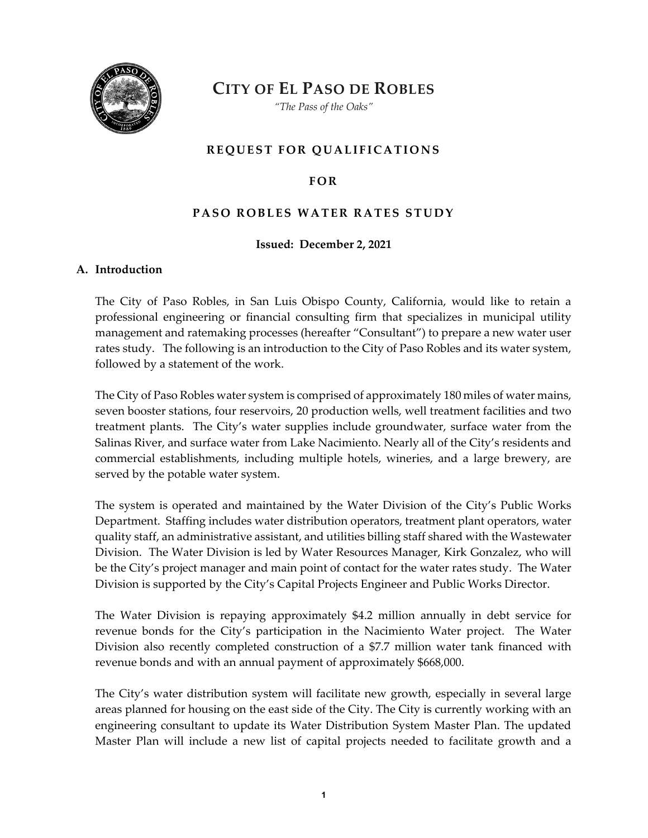

**CITY OF EL PASO DE ROBLES**

*"The Pass of the Oaks"*

## **REQUEST FOR QUALIFICATIONS**

## **FOR**

## **PASO ROBLES WATER RATES STUDY**

### **Issued: December 2, 2021**

#### **A. Introduction**

The City of Paso Robles, in San Luis Obispo County, California, would like to retain a professional engineering or financial consulting firm that specializes in municipal utility management and ratemaking processes (hereafter "Consultant") to prepare a new water user rates study. The following is an introduction to the City of Paso Robles and its water system, followed by a statement of the work.

The City of Paso Robles water system is comprised of approximately 180 miles of water mains, seven booster stations, four reservoirs, 20 production wells, well treatment facilities and two treatment plants. The City's water supplies include groundwater, surface water from the Salinas River, and surface water from Lake Nacimiento. Nearly all of the City's residents and commercial establishments, including multiple hotels, wineries, and a large brewery, are served by the potable water system.

The system is operated and maintained by the Water Division of the City's Public Works Department. Staffing includes water distribution operators, treatment plant operators, water quality staff, an administrative assistant, and utilities billing staff shared with the Wastewater Division. The Water Division is led by Water Resources Manager, Kirk Gonzalez, who will be the City's project manager and main point of contact for the water rates study. The Water Division is supported by the City's Capital Projects Engineer and Public Works Director.

The Water Division is repaying approximately \$4.2 million annually in debt service for revenue bonds for the City's participation in the Nacimiento Water project. The Water Division also recently completed construction of a \$7.7 million water tank financed with revenue bonds and with an annual payment of approximately \$668,000.

The City's water distribution system will facilitate new growth, especially in several large areas planned for housing on the east side of the City. The City is currently working with an engineering consultant to update its Water Distribution System Master Plan. The updated Master Plan will include a new list of capital projects needed to facilitate growth and a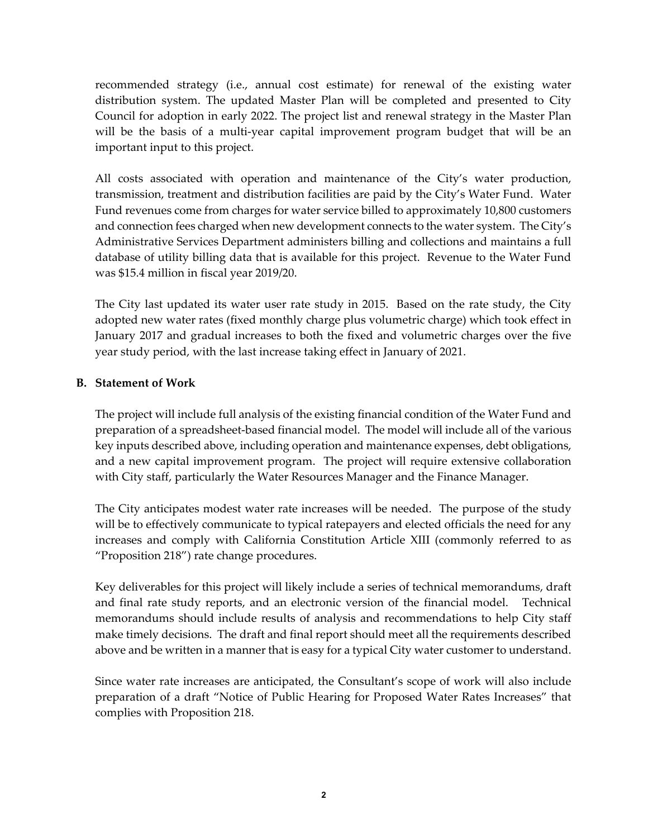recommended strategy (i.e., annual cost estimate) for renewal of the existing water distribution system. The updated Master Plan will be completed and presented to City Council for adoption in early 2022. The project list and renewal strategy in the Master Plan will be the basis of a multi-year capital improvement program budget that will be an important input to this project.

All costs associated with operation and maintenance of the City's water production, transmission, treatment and distribution facilities are paid by the City's Water Fund. Water Fund revenues come from charges for water service billed to approximately 10,800 customers and connection fees charged when new development connects to the water system. The City's Administrative Services Department administers billing and collections and maintains a full database of utility billing data that is available for this project. Revenue to the Water Fund was \$15.4 million in fiscal year 2019/20.

The City last updated its water user rate study in 2015. Based on the rate study, the City adopted new water rates (fixed monthly charge plus volumetric charge) which took effect in January 2017 and gradual increases to both the fixed and volumetric charges over the five year study period, with the last increase taking effect in January of 2021.

## **B. Statement of Work**

The project will include full analysis of the existing financial condition of the Water Fund and preparation of a spreadsheet-based financial model. The model will include all of the various key inputs described above, including operation and maintenance expenses, debt obligations, and a new capital improvement program. The project will require extensive collaboration with City staff, particularly the Water Resources Manager and the Finance Manager.

The City anticipates modest water rate increases will be needed. The purpose of the study will be to effectively communicate to typical ratepayers and elected officials the need for any increases and comply with California Constitution Article XIII (commonly referred to as "Proposition 218") rate change procedures.

Key deliverables for this project will likely include a series of technical memorandums, draft and final rate study reports, and an electronic version of the financial model. Technical memorandums should include results of analysis and recommendations to help City staff make timely decisions. The draft and final report should meet all the requirements described above and be written in a manner that is easy for a typical City water customer to understand.

Since water rate increases are anticipated, the Consultant's scope of work will also include preparation of a draft "Notice of Public Hearing for Proposed Water Rates Increases" that complies with Proposition 218.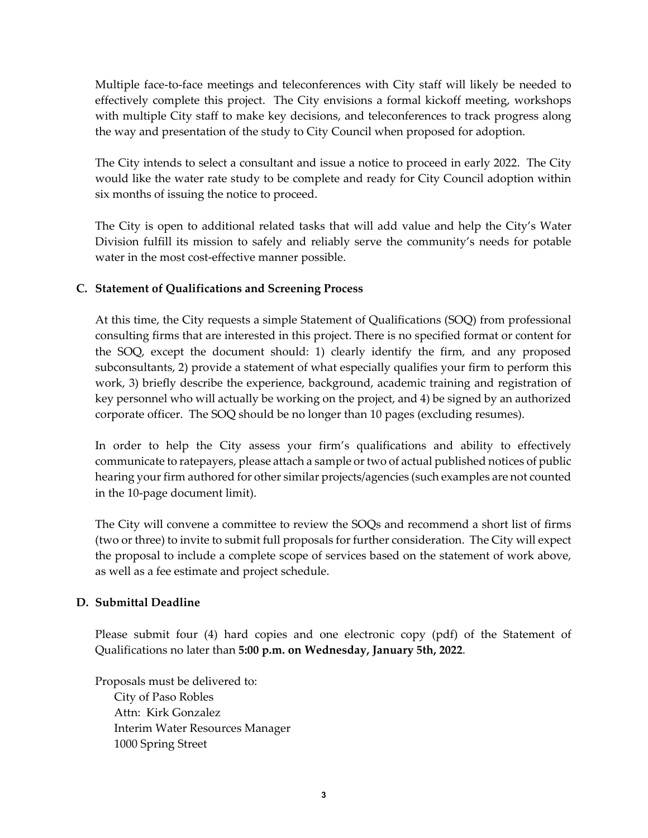Multiple face-to-face meetings and teleconferences with City staff will likely be needed to effectively complete this project. The City envisions a formal kickoff meeting, workshops with multiple City staff to make key decisions, and teleconferences to track progress along the way and presentation of the study to City Council when proposed for adoption.

The City intends to select a consultant and issue a notice to proceed in early 2022. The City would like the water rate study to be complete and ready for City Council adoption within six months of issuing the notice to proceed.

The City is open to additional related tasks that will add value and help the City's Water Division fulfill its mission to safely and reliably serve the community's needs for potable water in the most cost-effective manner possible.

# **C. Statement of Qualifications and Screening Process**

At this time, the City requests a simple Statement of Qualifications (SOQ) from professional consulting firms that are interested in this project. There is no specified format or content for the SOQ, except the document should: 1) clearly identify the firm, and any proposed subconsultants, 2) provide a statement of what especially qualifies your firm to perform this work, 3) briefly describe the experience, background, academic training and registration of key personnel who will actually be working on the project, and 4) be signed by an authorized corporate officer. The SOQ should be no longer than 10 pages (excluding resumes).

In order to help the City assess your firm's qualifications and ability to effectively communicate to ratepayers, please attach a sample or two of actual published notices of public hearing your firm authored for other similar projects/agencies (such examples are not counted in the 10-page document limit).

The City will convene a committee to review the SOQs and recommend a short list of firms (two or three) to invite to submit full proposals for further consideration. The City will expect the proposal to include a complete scope of services based on the statement of work above, as well as a fee estimate and project schedule.

# **D. Submittal Deadline**

Please submit four (4) hard copies and one electronic copy (pdf) of the Statement of Qualifications no later than **5:00 p.m. on Wednesday, January 5th, 2022**.

Proposals must be delivered to: City of Paso Robles Attn: Kirk Gonzalez Interim Water Resources Manager 1000 Spring Street